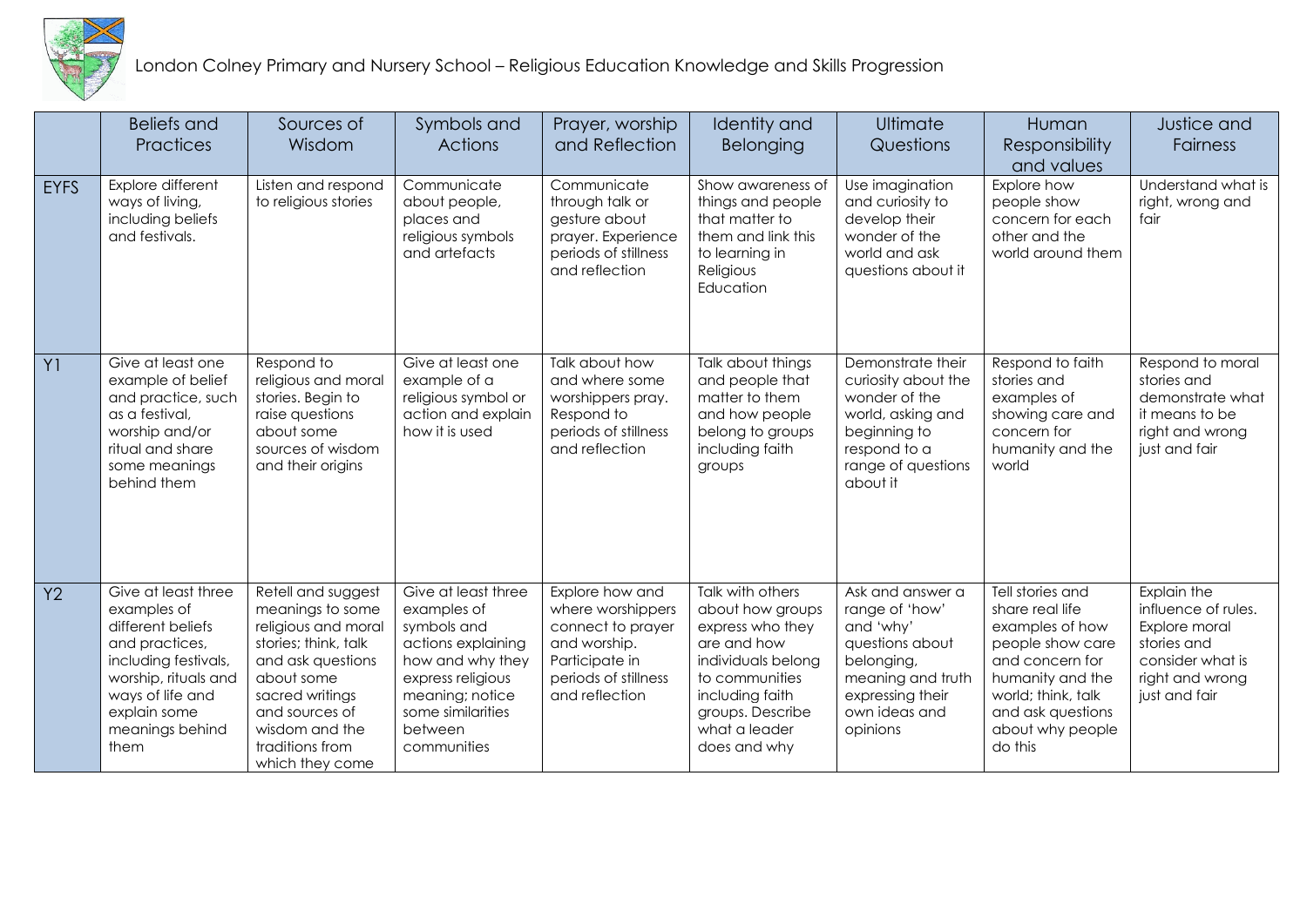

London Colney Primary and Nursery School – Religious Education Knowledge and Skills Progression

|                | <b>Beliefs and</b><br>Practices                                                                                                                                                          | Sources of<br>Wisdom                                                                                                                                                                                                  | Symbols and<br><b>Actions</b>                                                                                                                                                      | Prayer, worship<br>and Reflection                                                                                                     | Identity and<br>Belonging                                                                                                                                                               | Ultimate<br>Questions                                                                                                                                  | Human<br>Responsibility<br>and values                                                                                                                                                       | Justice and<br><b>Fairness</b>                                                                                             |
|----------------|------------------------------------------------------------------------------------------------------------------------------------------------------------------------------------------|-----------------------------------------------------------------------------------------------------------------------------------------------------------------------------------------------------------------------|------------------------------------------------------------------------------------------------------------------------------------------------------------------------------------|---------------------------------------------------------------------------------------------------------------------------------------|-----------------------------------------------------------------------------------------------------------------------------------------------------------------------------------------|--------------------------------------------------------------------------------------------------------------------------------------------------------|---------------------------------------------------------------------------------------------------------------------------------------------------------------------------------------------|----------------------------------------------------------------------------------------------------------------------------|
| <b>EYFS</b>    | Explore different<br>ways of living,<br>including beliefs<br>and festivals.                                                                                                              | Listen and respond<br>to religious stories                                                                                                                                                                            | Communicate<br>about people,<br>places and<br>religious symbols<br>and artefacts                                                                                                   | Communicate<br>through talk or<br>gesture about<br>prayer. Experience<br>periods of stillness<br>and reflection                       | Show awareness of<br>things and people<br>that matter to<br>them and link this<br>to learning in<br>Religious<br>Education                                                              | Use imagination<br>and curiosity to<br>develop their<br>wonder of the<br>world and ask<br>questions about it                                           | Explore how<br>people show<br>concern for each<br>other and the<br>world around them                                                                                                        | Understand what is<br>right, wrong and<br>fair                                                                             |
| Y <sub>1</sub> | Give at least one<br>example of belief<br>and practice, such<br>as a festival,<br>worship and/or<br>ritual and share<br>some meanings<br>behind them                                     | Respond to<br>religious and moral<br>stories. Begin to<br>raise questions<br>about some<br>sources of wisdom<br>and their origins                                                                                     | Give at least one<br>example of a<br>religious symbol or<br>action and explain<br>how it is used                                                                                   | Talk about how<br>and where some<br>worshippers pray.<br>Respond to<br>periods of stillness<br>and reflection                         | Talk about things<br>and people that<br>matter to them<br>and how people<br>belong to groups<br>including faith<br>groups                                                               | Demonstrate their<br>curiosity about the<br>wonder of the<br>world, asking and<br>beginning to<br>respond to a<br>range of questions<br>about it       | Respond to faith<br>stories and<br>examples of<br>showing care and<br>concern for<br>humanity and the<br>world                                                                              | Respond to moral<br>stories and<br>demonstrate what<br>it means to be<br>right and wrong<br>just and fair                  |
| Y2             | Give at least three<br>examples of<br>different beliefs<br>and practices,<br>including festivals,<br>worship, rituals and<br>ways of life and<br>explain some<br>meanings behind<br>them | Retell and suggest<br>meanings to some<br>religious and moral<br>stories; think, talk<br>and ask questions<br>about some<br>sacred writings<br>and sources of<br>wisdom and the<br>traditions from<br>which they come | Give at least three<br>examples of<br>symbols and<br>actions explaining<br>how and why they<br>express religious<br>meaning; notice<br>some similarities<br>between<br>communities | Explore how and<br>where worshippers<br>connect to prayer<br>and worship.<br>Participate in<br>periods of stillness<br>and reflection | Talk with others<br>about how groups<br>express who they<br>are and how<br>individuals belong<br>to communities<br>including faith<br>groups. Describe<br>what a leader<br>does and why | Ask and answer a<br>range of 'how'<br>and 'why'<br>questions about<br>belonging,<br>meaning and truth<br>expressing their<br>own ideas and<br>opinions | Tell stories and<br>share real life<br>examples of how<br>people show care<br>and concern for<br>humanity and the<br>world; think, talk<br>and ask questions<br>about why people<br>do this | Explain the<br>influence of rules.<br>Explore moral<br>stories and<br>consider what is<br>right and wrong<br>just and fair |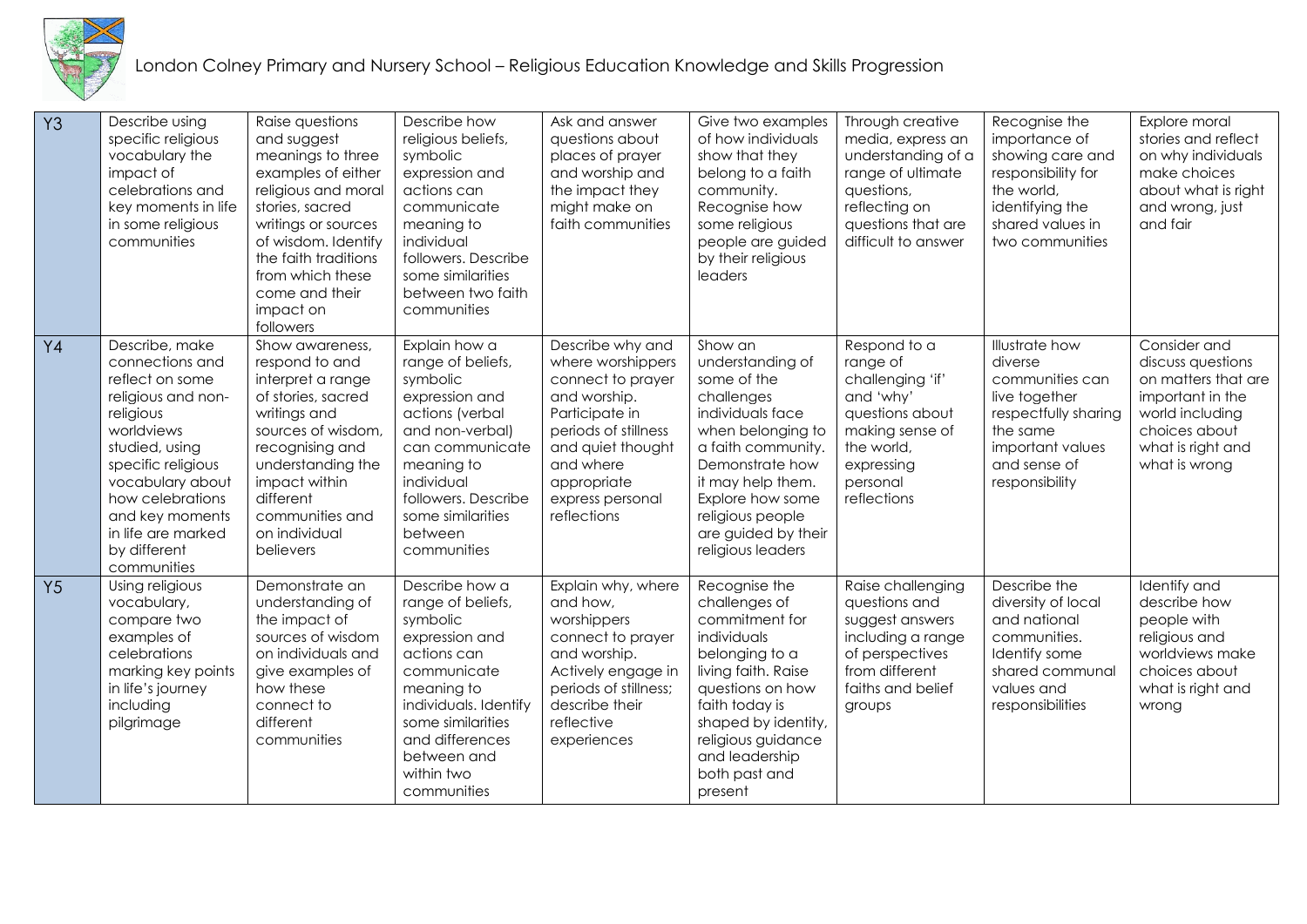

London Colney Primary and Nursery School – Religious Education Knowledge and Skills Progression

| Y3             | Describe using<br>specific religious<br>vocabulary the<br>impact of<br>celebrations and<br>key moments in life<br>in some religious<br>communities                                                                                                            | Raise questions<br>and suggest<br>meanings to three<br>examples of either<br>religious and moral<br>stories, sacred<br>writings or sources<br>of wisdom. Identify<br>the faith traditions<br>from which these<br>come and their<br>impact on<br>followers | Describe how<br>religious beliefs,<br>symbolic<br>expression and<br>actions can<br>communicate<br>meaning to<br>individual<br>followers. Describe<br>some similarities<br>between two faith<br>communities                  | Ask and answer<br>questions about<br>places of prayer<br>and worship and<br>the impact they<br>might make on<br>faith communities                                                                        | Give two examples<br>of how individuals<br>show that they<br>belong to a faith<br>community.<br>Recognise how<br>some religious<br>people are guided<br>by their religious<br>leaders                                                               | Through creative<br>media, express an<br>understanding of a<br>range of ultimate<br>questions,<br>reflecting on<br>questions that are<br>difficult to answer | Recognise the<br>importance of<br>showing care and<br>responsibility for<br>the world,<br>identifying the<br>shared values in<br>two communities        | Explore moral<br>stories and reflect<br>on why individuals<br>make choices<br>about what is right<br>and wrong, just<br>and fair                       |
|----------------|---------------------------------------------------------------------------------------------------------------------------------------------------------------------------------------------------------------------------------------------------------------|-----------------------------------------------------------------------------------------------------------------------------------------------------------------------------------------------------------------------------------------------------------|-----------------------------------------------------------------------------------------------------------------------------------------------------------------------------------------------------------------------------|----------------------------------------------------------------------------------------------------------------------------------------------------------------------------------------------------------|-----------------------------------------------------------------------------------------------------------------------------------------------------------------------------------------------------------------------------------------------------|--------------------------------------------------------------------------------------------------------------------------------------------------------------|---------------------------------------------------------------------------------------------------------------------------------------------------------|--------------------------------------------------------------------------------------------------------------------------------------------------------|
| $Y_4$          | Describe, make<br>connections and<br>reflect on some<br>religious and non-<br>religious<br>worldviews<br>studied, using<br>specific religious<br>vocabulary about<br>how celebrations<br>and key moments<br>in life are marked<br>by different<br>communities | Show awareness,<br>respond to and<br>interpret a range<br>of stories, sacred<br>writings and<br>sources of wisdom,<br>recognising and<br>understanding the<br>impact within<br>different<br>communities and<br>on individual<br>believers                 | Explain how a<br>range of beliefs,<br>symbolic<br>expression and<br>actions (verbal<br>and non-verbal)<br>can communicate<br>meaning to<br>individual<br>followers. Describe<br>some similarities<br>between<br>communities | Describe why and<br>where worshippers<br>connect to prayer<br>and worship.<br>Participate in<br>periods of stillness<br>and quiet thought<br>and where<br>appropriate<br>express personal<br>reflections | Show an<br>understanding of<br>some of the<br>challenges<br>individuals face<br>when belonging to<br>a faith community.<br>Demonstrate how<br>it may help them.<br>Explore how some<br>religious people<br>are guided by their<br>religious leaders | Respond to a<br>range of<br>challenging 'if'<br>and 'why'<br>questions about<br>making sense of<br>the world,<br>expressing<br>personal<br>reflections       | Illustrate how<br>diverse<br>communities can<br>live together<br>respectfully sharing<br>the same<br>important values<br>and sense of<br>responsibility | Consider and<br>discuss questions<br>on matters that are<br>important in the<br>world including<br>choices about<br>what is right and<br>what is wrong |
| Y <sub>5</sub> | Using religious<br>vocabulary,<br>compare two<br>examples of<br>celebrations<br>marking key points<br>in life's journey<br>including<br>pilgrimage                                                                                                            | Demonstrate an<br>understanding of<br>the impact of<br>sources of wisdom<br>on individuals and<br>give examples of<br>how these<br>connect to<br>different<br>communities                                                                                 | Describe how a<br>range of beliefs,<br>symbolic<br>expression and<br>actions can<br>communicate<br>meaning to<br>individuals. Identify<br>some similarities<br>and differences<br>between and<br>within two<br>communities  | Explain why, where<br>and how,<br>worshippers<br>connect to prayer<br>and worship.<br>Actively engage in<br>periods of stillness;<br>describe their<br>reflective<br>experiences                         | Recognise the<br>challenges of<br>commitment for<br>individuals<br>belonging to a<br>living faith. Raise<br>questions on how<br>faith today is<br>shaped by identity,<br>religious guidance<br>and leadership<br>both past and<br>present           | Raise challenging<br>questions and<br>suggest answers<br>including a range<br>of perspectives<br>from different<br>faiths and belief<br>groups               | Describe the<br>diversity of local<br>and national<br>communities.<br>Identify some<br>shared communal<br>values and<br>responsibilities                | Identify and<br>describe how<br>people with<br>religious and<br>worldviews make<br>choices about<br>what is right and<br>wrong                         |